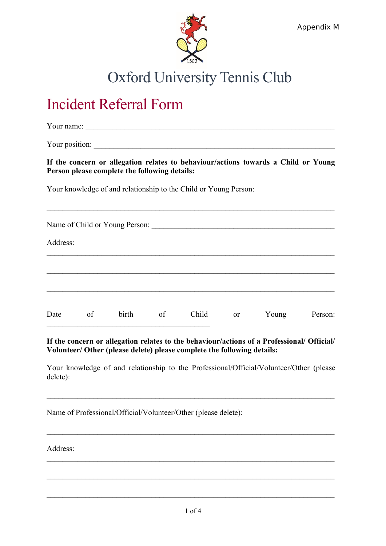

## Oxford University Tennis Club

## Incident Referral Form

Your name:

Your position:

**If the concern or allegation relates to behaviour/actions towards a Child or Young Person please complete the following details:** 

 $\mathcal{L}_\text{max}$  , and the contribution of the contribution of the contribution of the contribution of the contribution of the contribution of the contribution of the contribution of the contribution of the contribution of t

Your knowledge of and relationship to the Child or Young Person:

| Name of Child or Young Person:<br>Address: |    |       |    |       |    |       |         |
|--------------------------------------------|----|-------|----|-------|----|-------|---------|
|                                            |    |       |    |       |    |       |         |
|                                            |    |       |    |       |    |       |         |
| Date                                       | of | birth | of | Child | or | Young | Person: |

**If the concern or allegation relates to the behaviour/actions of a Professional/ Official/ Volunteer/ Other (please delete) please complete the following details:**

Your knowledge of and relationship to the Professional/Official/Volunteer/Other (please delete):

 $\mathcal{L}_\text{max}$  , and the contribution of the contribution of the contribution of the contribution of the contribution of the contribution of the contribution of the contribution of the contribution of the contribution of t

 $\mathcal{L}_\text{max}$  , and the contribution of the contribution of the contribution of the contribution of the contribution of the contribution of the contribution of the contribution of the contribution of the contribution of t

 $\mathcal{L}_\text{max}$  , and the contribution of the contribution of the contribution of the contribution of the contribution of the contribution of the contribution of the contribution of the contribution of the contribution of t

 $\mathcal{L}_\text{max}$  , and the contribution of the contribution of the contribution of the contribution of the contribution of the contribution of the contribution of the contribution of the contribution of the contribution of t

 $\mathcal{L}_\text{max} = \frac{1}{2} \sum_{i=1}^n \mathcal{L}_\text{max}(\mathbf{z}_i - \mathbf{z}_i)$ 

Name of Professional/Official/Volunteer/Other (please delete):

Address: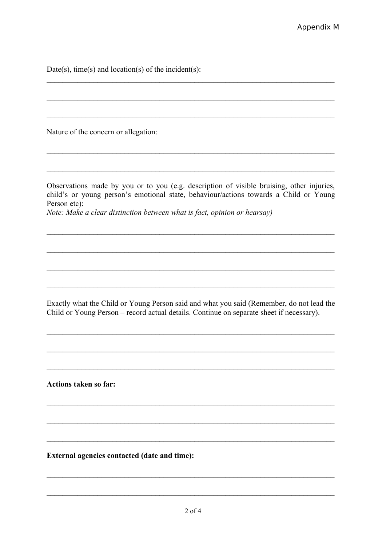Date(s), time(s) and location(s) of the incident(s):

Nature of the concern or allegation:

Observations made by you or to you (e.g. description of visible bruising, other injuries, child's or young person's emotional state, behaviour/actions towards a Child or Young Person etc):

Note: Make a clear distinction between what is fact, opinion or hearsay)

Exactly what the Child or Young Person said and what you said (Remember, do not lead the Child or Young Person – record actual details. Continue on separate sheet if necessary).

**Actions taken so far:** 

External agencies contacted (date and time):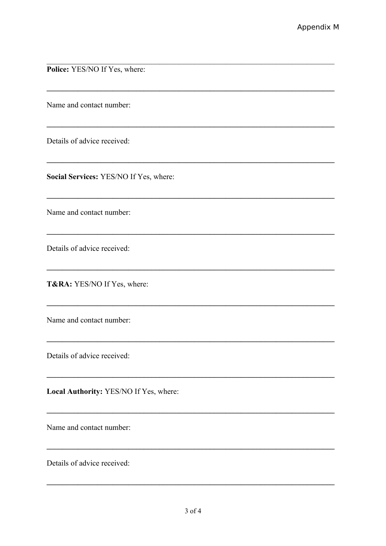Police: YES/NO If Yes, where:

Name and contact number:

Details of advice received:

Social Services: YES/NO If Yes, where:

Name and contact number:

Details of advice received:

T&RA: YES/NO If Yes, where:

Name and contact number:

Details of advice received:

Local Authority: YES/NO If Yes, where:

Name and contact number:

Details of advice received:

,我们也不会有什么。""我们的人,我们也不会有什么?""我们的人,我们也不会有什么?""我们的人,我们也不会有什么?""我们的人,我们也不会有什么?""我们的人